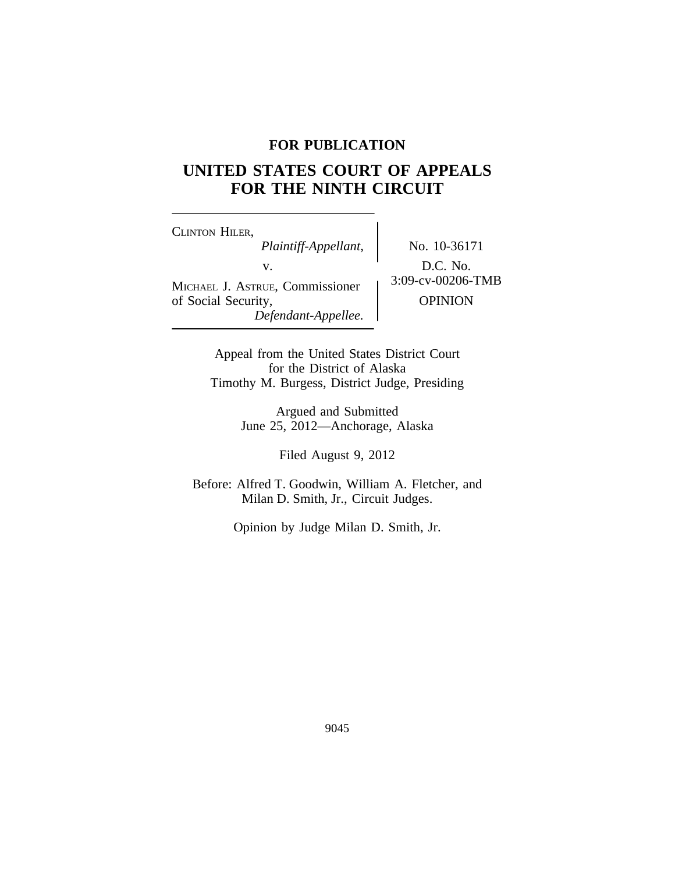## **FOR PUBLICATION**

# **UNITED STATES COURT OF APPEALS FOR THE NINTH CIRCUIT**

<sup>C</sup>LINTON HILER, *Plaintiff-Appellant,* No. 10-36171 v.  $D.C. No.$ <br>Formissionar  $3:09$ -cv-00206-TMB MICHAEL J. ASTRUE, Commissioner of Social Security,  $OPINION$ *Defendant-Appellee.*

Appeal from the United States District Court for the District of Alaska Timothy M. Burgess, District Judge, Presiding

> Argued and Submitted June 25, 2012—Anchorage, Alaska

> > Filed August 9, 2012

Before: Alfred T. Goodwin, William A. Fletcher, and Milan D. Smith, Jr., Circuit Judges.

Opinion by Judge Milan D. Smith, Jr.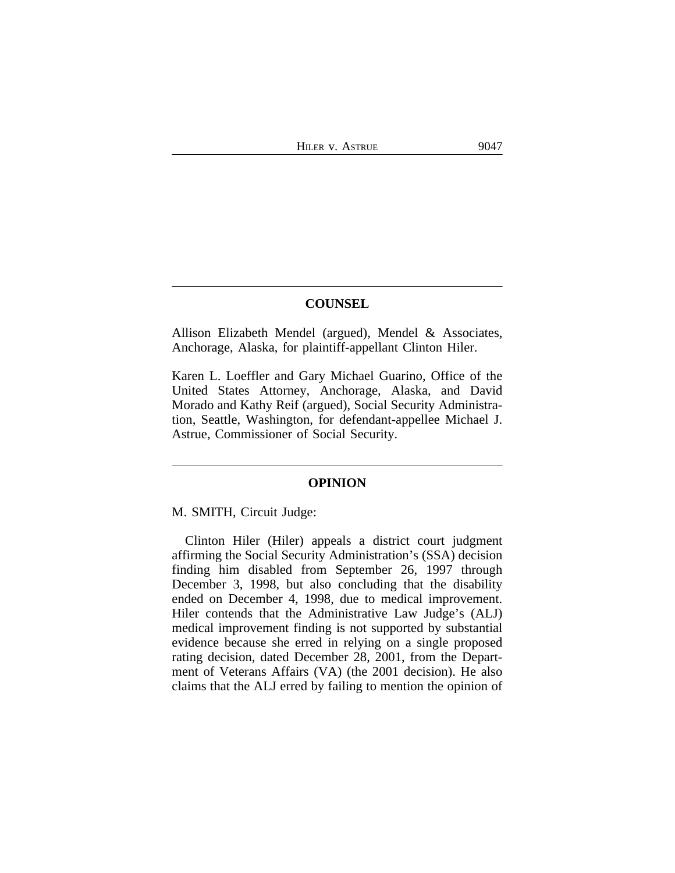### **COUNSEL**

Allison Elizabeth Mendel (argued), Mendel & Associates, Anchorage, Alaska, for plaintiff-appellant Clinton Hiler.

Karen L. Loeffler and Gary Michael Guarino, Office of the United States Attorney, Anchorage, Alaska, and David Morado and Kathy Reif (argued), Social Security Administration, Seattle, Washington, for defendant-appellee Michael J. Astrue, Commissioner of Social Security.

#### **OPINION**

M. SMITH, Circuit Judge:

Clinton Hiler (Hiler) appeals a district court judgment affirming the Social Security Administration's (SSA) decision finding him disabled from September 26, 1997 through December 3, 1998, but also concluding that the disability ended on December 4, 1998, due to medical improvement. Hiler contends that the Administrative Law Judge's (ALJ) medical improvement finding is not supported by substantial evidence because she erred in relying on a single proposed rating decision, dated December 28, 2001, from the Department of Veterans Affairs (VA) (the 2001 decision). He also claims that the ALJ erred by failing to mention the opinion of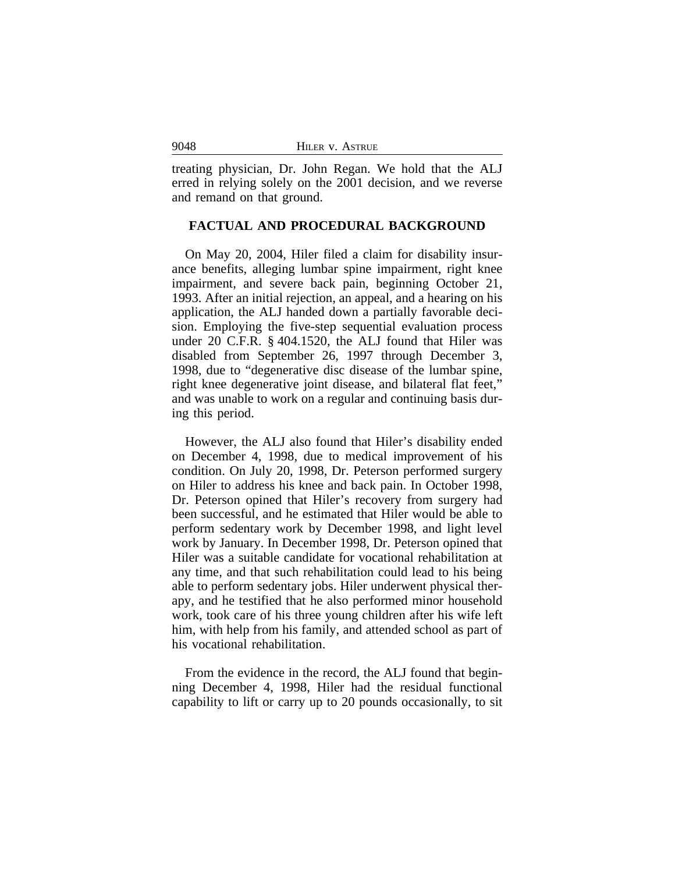| 9048 | HILER V. ASTRUE |
|------|-----------------|
|      |                 |

treating physician, Dr. John Regan. We hold that the ALJ erred in relying solely on the 2001 decision, and we reverse and remand on that ground.

## **FACTUAL AND PROCEDURAL BACKGROUND**

On May 20, 2004, Hiler filed a claim for disability insurance benefits, alleging lumbar spine impairment, right knee impairment, and severe back pain, beginning October 21, 1993. After an initial rejection, an appeal, and a hearing on his application, the ALJ handed down a partially favorable decision. Employing the five-step sequential evaluation process under 20 C.F.R. § 404.1520, the ALJ found that Hiler was disabled from September 26, 1997 through December 3, 1998, due to "degenerative disc disease of the lumbar spine, right knee degenerative joint disease, and bilateral flat feet," and was unable to work on a regular and continuing basis during this period.

However, the ALJ also found that Hiler's disability ended on December 4, 1998, due to medical improvement of his condition. On July 20, 1998, Dr. Peterson performed surgery on Hiler to address his knee and back pain. In October 1998, Dr. Peterson opined that Hiler's recovery from surgery had been successful, and he estimated that Hiler would be able to perform sedentary work by December 1998, and light level work by January. In December 1998, Dr. Peterson opined that Hiler was a suitable candidate for vocational rehabilitation at any time, and that such rehabilitation could lead to his being able to perform sedentary jobs. Hiler underwent physical therapy, and he testified that he also performed minor household work, took care of his three young children after his wife left him, with help from his family, and attended school as part of his vocational rehabilitation.

From the evidence in the record, the ALJ found that beginning December 4, 1998, Hiler had the residual functional capability to lift or carry up to 20 pounds occasionally, to sit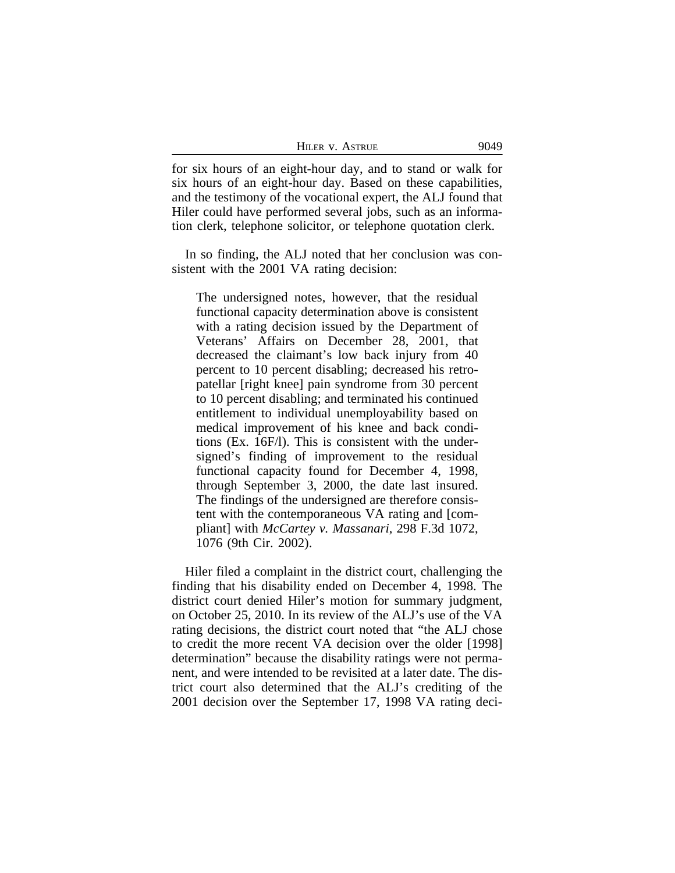| HILER V. ASTRUE | 9049 |
|-----------------|------|
|-----------------|------|

for six hours of an eight-hour day, and to stand or walk for six hours of an eight-hour day. Based on these capabilities, and the testimony of the vocational expert, the ALJ found that Hiler could have performed several jobs, such as an information clerk, telephone solicitor, or telephone quotation clerk.

In so finding, the ALJ noted that her conclusion was consistent with the 2001 VA rating decision:

The undersigned notes, however, that the residual functional capacity determination above is consistent with a rating decision issued by the Department of Veterans' Affairs on December 28, 2001, that decreased the claimant's low back injury from 40 percent to 10 percent disabling; decreased his retropatellar [right knee] pain syndrome from 30 percent to 10 percent disabling; and terminated his continued entitlement to individual unemployability based on medical improvement of his knee and back conditions (Ex. 16F/l). This is consistent with the undersigned's finding of improvement to the residual functional capacity found for December 4, 1998, through September 3, 2000, the date last insured. The findings of the undersigned are therefore consistent with the contemporaneous VA rating and [compliant] with *McCartey v. Massanari*, 298 F.3d 1072, 1076 (9th Cir. 2002).

Hiler filed a complaint in the district court, challenging the finding that his disability ended on December 4, 1998. The district court denied Hiler's motion for summary judgment, on October 25, 2010. In its review of the ALJ's use of the VA rating decisions, the district court noted that "the ALJ chose to credit the more recent VA decision over the older [1998] determination" because the disability ratings were not permanent, and were intended to be revisited at a later date. The district court also determined that the ALJ's crediting of the 2001 decision over the September 17, 1998 VA rating deci-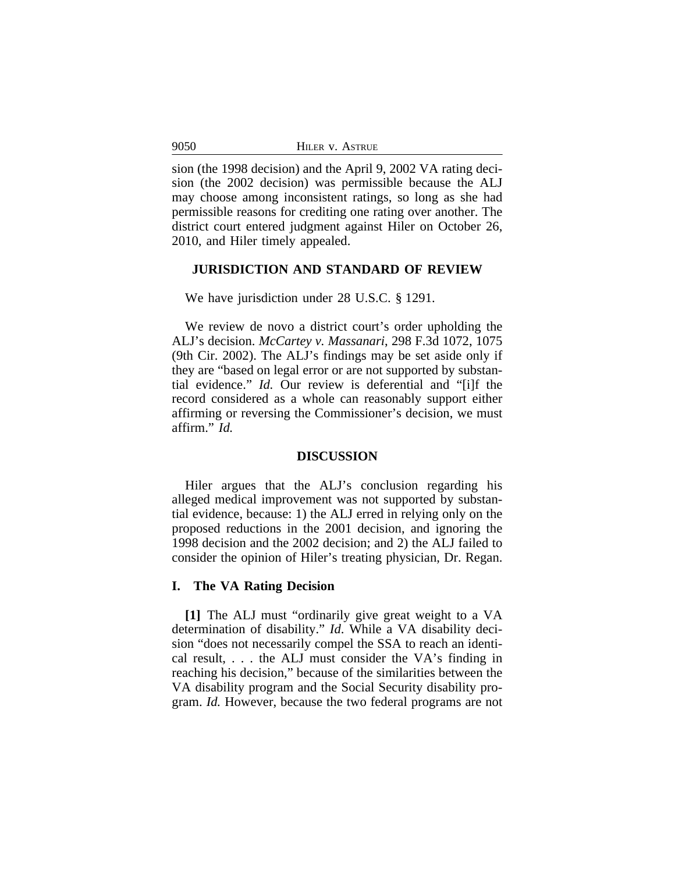| 9050 | HILER V. ASTRUE |  |
|------|-----------------|--|
|      |                 |  |

sion (the 1998 decision) and the April 9, 2002 VA rating decision (the 2002 decision) was permissible because the ALJ may choose among inconsistent ratings, so long as she had permissible reasons for crediting one rating over another. The district court entered judgment against Hiler on October 26, 2010, and Hiler timely appealed.

## **JURISDICTION AND STANDARD OF REVIEW**

#### We have jurisdiction under 28 U.S.C. § 1291.

We review de novo a district court's order upholding the ALJ's decision. *McCartey v. Massanari*, 298 F.3d 1072, 1075 (9th Cir. 2002). The ALJ's findings may be set aside only if they are "based on legal error or are not supported by substantial evidence." *Id.* Our review is deferential and "[i]f the record considered as a whole can reasonably support either affirming or reversing the Commissioner's decision, we must affirm." *Id.* 

#### **DISCUSSION**

Hiler argues that the ALJ's conclusion regarding his alleged medical improvement was not supported by substantial evidence, because: 1) the ALJ erred in relying only on the proposed reductions in the 2001 decision, and ignoring the 1998 decision and the 2002 decision; and 2) the ALJ failed to consider the opinion of Hiler's treating physician, Dr. Regan.

#### **I. The VA Rating Decision**

**[1]** The ALJ must "ordinarily give great weight to a VA determination of disability." *Id*. While a VA disability decision "does not necessarily compel the SSA to reach an identical result, . . . the ALJ must consider the VA's finding in reaching his decision," because of the similarities between the VA disability program and the Social Security disability program. *Id.* However, because the two federal programs are not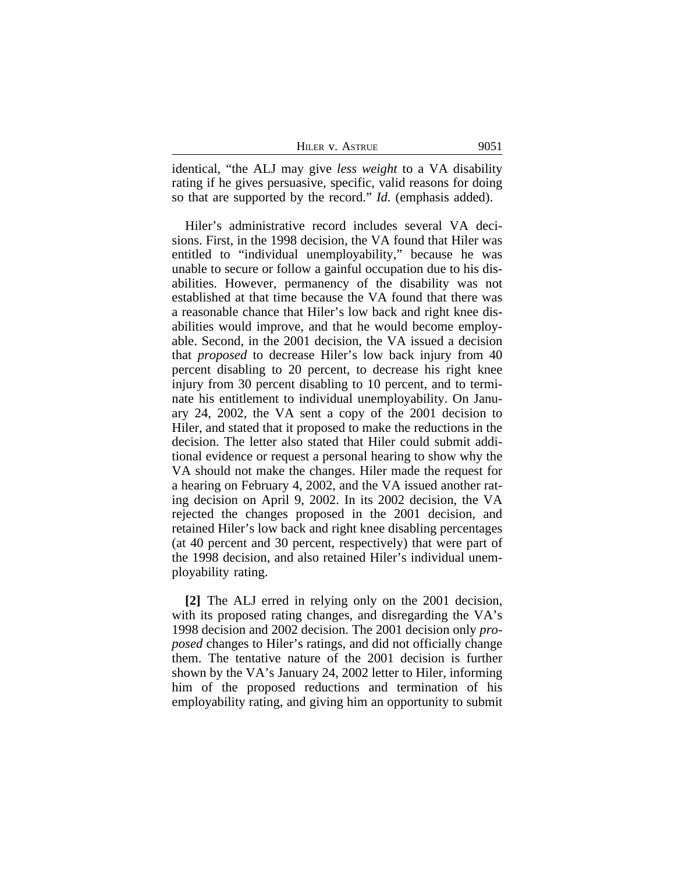| HILER V. ASTRUE | 9051 |
|-----------------|------|
|-----------------|------|

identical, "the ALJ may give *less weight* to a VA disability rating if he gives persuasive, specific, valid reasons for doing so that are supported by the record." *Id.* (emphasis added).

Hiler's administrative record includes several VA decisions. First, in the 1998 decision, the VA found that Hiler was entitled to "individual unemployability," because he was unable to secure or follow a gainful occupation due to his disabilities. However, permanency of the disability was not established at that time because the VA found that there was a reasonable chance that Hiler's low back and right knee disabilities would improve, and that he would become employable. Second, in the 2001 decision, the VA issued a decision that *proposed* to decrease Hiler's low back injury from 40 percent disabling to 20 percent, to decrease his right knee injury from 30 percent disabling to 10 percent, and to terminate his entitlement to individual unemployability. On January 24, 2002, the VA sent a copy of the 2001 decision to Hiler, and stated that it proposed to make the reductions in the decision. The letter also stated that Hiler could submit additional evidence or request a personal hearing to show why the VA should not make the changes. Hiler made the request for a hearing on February 4, 2002, and the VA issued another rating decision on April 9, 2002. In its 2002 decision, the VA rejected the changes proposed in the 2001 decision, and retained Hiler's low back and right knee disabling percentages (at 40 percent and 30 percent, respectively) that were part of the 1998 decision, and also retained Hiler's individual unemployability rating.

**[2]** The ALJ erred in relying only on the 2001 decision, with its proposed rating changes, and disregarding the VA's 1998 decision and 2002 decision. The 2001 decision only *proposed* changes to Hiler's ratings, and did not officially change them. The tentative nature of the 2001 decision is further shown by the VA's January 24, 2002 letter to Hiler, informing him of the proposed reductions and termination of his employability rating, and giving him an opportunity to submit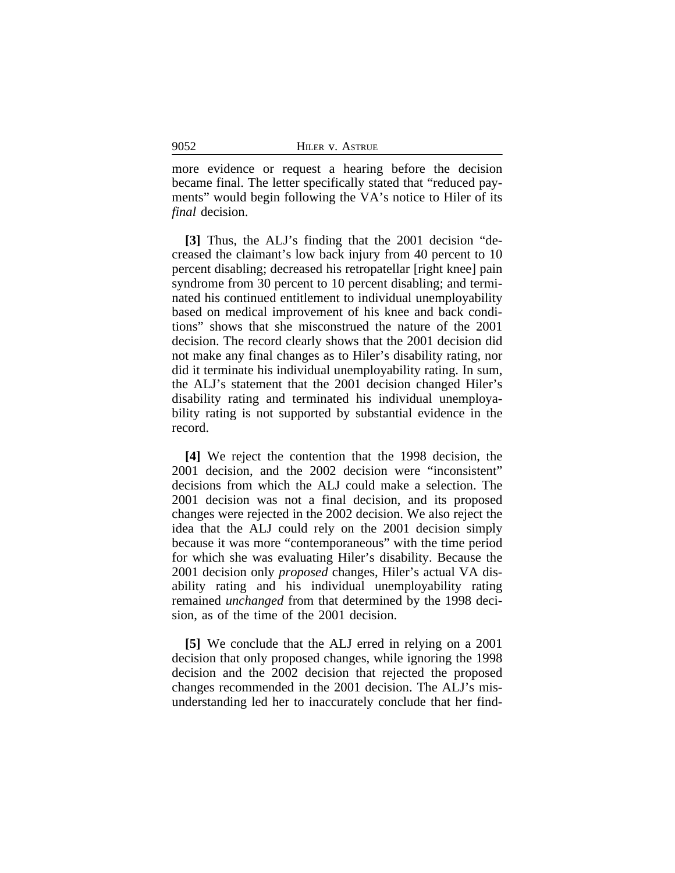| HILER V. ASTRUE |
|-----------------|
|                 |

more evidence or request a hearing before the decision became final. The letter specifically stated that "reduced payments" would begin following the VA's notice to Hiler of its *final* decision.

**[3]** Thus, the ALJ's finding that the 2001 decision "decreased the claimant's low back injury from 40 percent to 10 percent disabling; decreased his retropatellar [right knee] pain syndrome from 30 percent to 10 percent disabling; and terminated his continued entitlement to individual unemployability based on medical improvement of his knee and back conditions" shows that she misconstrued the nature of the 2001 decision. The record clearly shows that the 2001 decision did not make any final changes as to Hiler's disability rating, nor did it terminate his individual unemployability rating. In sum, the ALJ's statement that the 2001 decision changed Hiler's disability rating and terminated his individual unemployability rating is not supported by substantial evidence in the record.

**[4]** We reject the contention that the 1998 decision, the 2001 decision, and the 2002 decision were "inconsistent" decisions from which the ALJ could make a selection. The 2001 decision was not a final decision, and its proposed changes were rejected in the 2002 decision. We also reject the idea that the ALJ could rely on the 2001 decision simply because it was more "contemporaneous" with the time period for which she was evaluating Hiler's disability. Because the 2001 decision only *proposed* changes, Hiler's actual VA disability rating and his individual unemployability rating remained *unchanged* from that determined by the 1998 decision, as of the time of the 2001 decision.

**[5]** We conclude that the ALJ erred in relying on a 2001 decision that only proposed changes, while ignoring the 1998 decision and the 2002 decision that rejected the proposed changes recommended in the 2001 decision. The ALJ's misunderstanding led her to inaccurately conclude that her find-